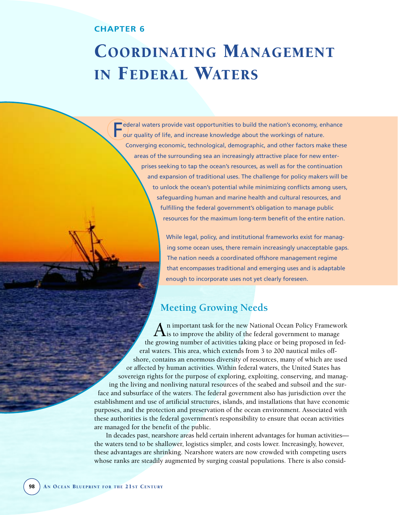# **CHAPTER 6**

F

# COORDINATING MANAGEMENT IN FEDERAL WATERS

ederal waters provide vast opportunities to build the nation's economy, enhance our quality of life, and increase knowledge about the workings of nature. Converging economic, technological, demographic, and other factors make these areas of the surrounding sea an increasingly attractive place for new enterprises seeking to tap the ocean's resources, as well as for the continuation and expansion of traditional uses. The challenge for policy makers will be to unlock the ocean's potential while minimizing conflicts among users, safeguarding human and marine health and cultural resources, and fulfilling the federal government's obligation to manage public resources for the maximum long-term benefit of the entire nation.

> While legal, policy, and institutional frameworks exist for managing some ocean uses, there remain increasingly unacceptable gaps. The nation needs a coordinated offshore management regime that encompasses traditional and emerging uses and is adaptable enough to incorporate uses not yet clearly foreseen.

# **Meeting Growing Needs**

An important task for the new National Ocean Policy Framework<br>
is to improve the ability of the federal government to manage the growing number of activities taking place or being proposed in federal waters. This area, which extends from 3 to 200 nautical miles offshore, contains an enormous diversity of resources, many of which are used or affected by human activities. Within federal waters, the United States has sovereign rights for the purpose of exploring, exploiting, conserving, and managing the living and nonliving natural resources of the seabed and subsoil and the surface and subsurface of the waters. The federal government also has jurisdiction over the establishment and use of artificial structures, islands, and installations that have economic purposes, and the protection and preservation of the ocean environment. Associated with these authorities is the federal government's responsibility to ensure that ocean activities are managed for the benefit of the public.

In decades past, nearshore areas held certain inherent advantages for human activities the waters tend to be shallower, logistics simpler, and costs lower. Increasingly, however, these advantages are shrinking. Nearshore waters are now crowded with competing users whose ranks are steadily augmented by surging coastal populations. There is also consid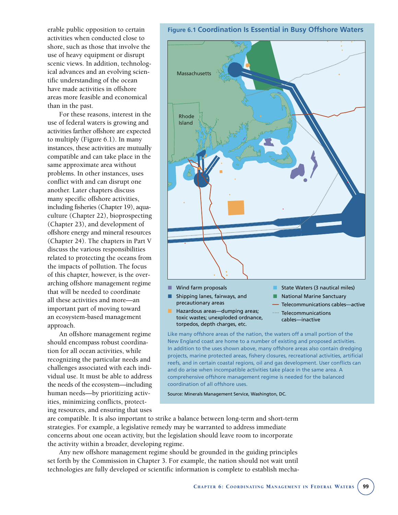erable public opposition to certain activities when conducted close to shore, such as those that involve the use of heavy equipment or disrupt scenic views. In addition, technological advances and an evolving scientific understanding of the ocean have made activities in offshore areas more feasible and economical than in the past.

For these reasons, interest in the use of federal waters is growing and activities farther offshore are expected to multiply (Figure 6.1). In many instances, these activities are mutually compatible and can take place in the same approximate area without problems. In other instances, uses conflict with and can disrupt one another. Later chapters discuss many specific offshore activities, including fisheries (Chapter 19), aquaculture (Chapter 22), bioprospecting (Chapter 23), and development of offshore energy and mineral resources (Chapter 24). The chapters in Part V discuss the various responsibilities related to protecting the oceans from the impacts of pollution. The focus of this chapter, however, is the overarching offshore management regime that will be needed to coordinate all these activities and more—an important part of moving toward an ecosystem-based management approach.

An offshore management regime should encompass robust coordination for all ocean activities, while recognizing the particular needs and challenges associated with each individual use. It must be able to address the needs of the ecosystem—including human needs—by prioritizing activities, minimizing conflicts, protecting resources, and ensuring that uses

**Figure 6.1 Coordination Is Essential in Busy Offshore Waters**



toxic wastes; unexploded ordnance, torpedos, depth charges, etc.

cables—inactive

Like many offshore areas of the nation, the waters off a small portion of the New England coast are home to a number of existing and proposed activities. In addition to the uses shown above, many offshore areas also contain dredging projects, marine protected areas, fishery closures, recreational activities, artificial reefs, and in certain coastal regions, oil and gas development. User conflicts can and do arise when incompatible activities take place in the same area. A comprehensive offshore management regime is needed for the balanced coordination of all offshore uses.

Source: Minerals Management Service, Washington, DC.

are compatible. It is also important to strike a balance between long-term and short-term strategies. For example, a legislative remedy may be warranted to address immediate concerns about one ocean activity, but the legislation should leave room to incorporate the activity within a broader, developing regime.

Any new offshore management regime should be grounded in the guiding principles set forth by the Commission in Chapter 3. For example, the nation should not wait until technologies are fully developed or scientific information is complete to establish mecha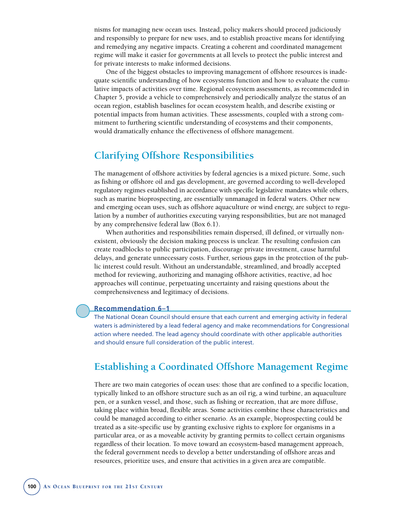nisms for managing new ocean uses. Instead, policy makers should proceed judiciously and responsibly to prepare for new uses, and to establish proactive means for identifying and remedying any negative impacts. Creating a coherent and coordinated management regime will make it easier for governments at all levels to protect the public interest and for private interests to make informed decisions.

One of the biggest obstacles to improving management of offshore resources is inadequate scientific understanding of how ecosystems function and how to evaluate the cumulative impacts of activities over time. Regional ecosystem assessments, as recommended in Chapter 5, provide a vehicle to comprehensively and periodically analyze the status of an ocean region, establish baselines for ocean ecosystem health, and describe existing or potential impacts from human activities. These assessments, coupled with a strong commitment to furthering scientific understanding of ecosystems and their components, would dramatically enhance the effectiveness of offshore management.

# **Clarifying Offshore Responsibilities**

The management of offshore activities by federal agencies is a mixed picture. Some, such as fishing or offshore oil and gas development, are governed according to well-developed regulatory regimes established in accordance with specific legislative mandates while others, such as marine bioprospecting, are essentially unmanaged in federal waters. Other new and emerging ocean uses, such as offshore aquaculture or wind energy, are subject to regulation by a number of authorities executing varying responsibilities, but are not managed by any comprehensive federal law (Box 6.1).

When authorities and responsibilities remain dispersed, ill defined, or virtually nonexistent, obviously the decision making process is unclear. The resulting confusion can create roadblocks to public participation, discourage private investment, cause harmful delays, and generate unnecessary costs. Further, serious gaps in the protection of the public interest could result. Without an understandable, streamlined, and broadly accepted method for reviewing, authorizing and managing offshore activities, reactive, ad hoc approaches will continue, perpetuating uncertainty and raising questions about the comprehensiveness and legitimacy of decisions.

#### **Recommendation 6–1**

The National Ocean Council should ensure that each current and emerging activity in federal waters is administered by a lead federal agency and make recommendations for Congressional action where needed. The lead agency should coordinate with other applicable authorities and should ensure full consideration of the public interest.

# **Establishing a Coordinated Offshore Management Regime**

There are two main categories of ocean uses: those that are confined to a specific location, typically linked to an offshore structure such as an oil rig, a wind turbine, an aquaculture pen, or a sunken vessel, and those, such as fishing or recreation, that are more diffuse, taking place within broad, flexible areas. Some activities combine these characteristics and could be managed according to either scenario. As an example, bioprospecting could be treated as a site-specific use by granting exclusive rights to explore for organisms in a particular area, or as a moveable activity by granting permits to collect certain organisms regardless of their location. To move toward an ecosystem-based management approach, the federal government needs to develop a better understanding of offshore areas and resources, prioritize uses, and ensure that activities in a given area are compatible.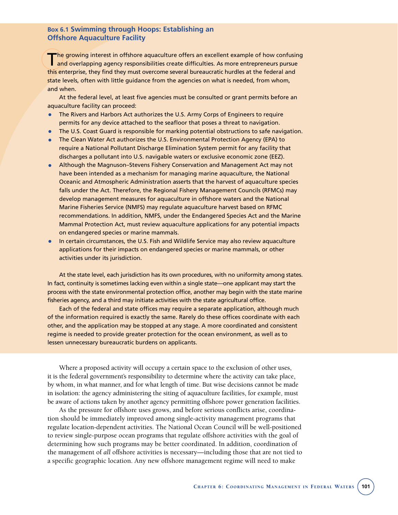## **Box 6.1 Swimming through Hoops: Establishing an Offshore Aquaculture Facility**

The growing interest in offshore aquaculture offers an excellent example of how confusing **and overlapping agency responsibilities create difficulties. As more entrepreneurs pursue** this enterprise, they find they must overcome several bureaucratic hurdles at the federal and state levels, often with little guidance from the agencies on what is needed, from whom, and when.

At the federal level, at least five agencies must be consulted or grant permits before an aquaculture facility can proceed:

- The Rivers and Harbors Act authorizes the U.S. Army Corps of Engineers to require permits for any device attached to the seafloor that poses a threat to navigation.
- The U.S. Coast Guard is responsible for marking potential obstructions to safe navigation.
- The Clean Water Act authorizes the U.S. Environmental Protection Agency (EPA) to require a National Pollutant Discharge Elimination System permit for any facility that discharges a pollutant into U.S. navigable waters or exclusive economic zone (EEZ).
- Although the Magnuson–Stevens Fishery Conservation and Management Act may not have been intended as a mechanism for managing marine aquaculture, the National Oceanic and Atmospheric Administration asserts that the harvest of aquaculture species falls under the Act. Therefore, the Regional Fishery Management Councils (RFMCs) may develop management measures for aquaculture in offshore waters and the National Marine Fisheries Service (NMFS) may regulate aquaculture harvest based on RFMC recommendations. In addition, NMFS, under the Endangered Species Act and the Marine Mammal Protection Act, must review aquaculture applications for any potential impacts on endangered species or marine mammals.
- In certain circumstances, the U.S. Fish and Wildlife Service may also review aquaculture applications for their impacts on endangered species or marine mammals, or other activities under its jurisdiction.

At the state level, each jurisdiction has its own procedures, with no uniformity among states. In fact, continuity is sometimes lacking even within a single state—one applicant may start the process with the state environmental protection office, another may begin with the state marine fisheries agency, and a third may initiate activities with the state agricultural office.

Each of the federal and state offices may require a separate application, although much of the information required is exactly the same. Rarely do these offices coordinate with each other, and the application may be stopped at any stage. A more coordinated and consistent regime is needed to provide greater protection for the ocean environment, as well as to lessen unnecessary bureaucratic burdens on applicants.

Where a proposed activity will occupy a certain space to the exclusion of other uses, it is the federal government's responsibility to determine where the activity can take place, by whom, in what manner, and for what length of time. But wise decisions cannot be made in isolation: the agency administering the siting of aquaculture facilities, for example, must be aware of actions taken by another agency permitting offshore power generation facilities.

As the pressure for offshore uses grows, and before serious conflicts arise, coordination should be immediately improved among single-activity management programs that regulate location-dependent activities. The National Ocean Council will be well-positioned to review single-purpose ocean programs that regulate offshore activities with the goal of determining how such programs may be better coordinated. In addition, coordination of the management of *all* offshore activities is necessary—including those that are not tied to a specific geographic location. Any new offshore management regime will need to make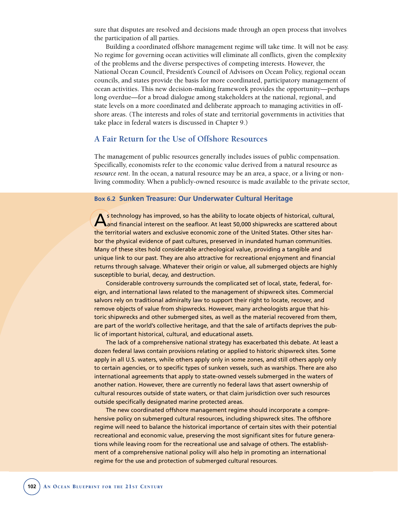sure that disputes are resolved and decisions made through an open process that involves the participation of all parties.

Building a coordinated offshore management regime will take time. It will not be easy. No regime for governing ocean activities will eliminate all conflicts, given the complexity of the problems and the diverse perspectives of competing interests. However, the National Ocean Council, President's Council of Advisors on Ocean Policy, regional ocean councils, and states provide the basis for more coordinated, participatory management of ocean activities. This new decision-making framework provides the opportunity—perhaps long overdue—for a broad dialogue among stakeholders at the national, regional, and state levels on a more coordinated and deliberate approach to managing activities in offshore areas. (The interests and roles of state and territorial governments in activities that take place in federal waters is discussed in Chapter 9.)

# **A Fair Return for the Use of Offshore Resources**

The management of public resources generally includes issues of public compensation. Specifically, economists refer to the economic value derived from a natural resource as *resource rent*. In the ocean, a natural resource may be an area, a space, or a living or nonliving commodity. When a publicly-owned resource is made available to the private sector,

#### **Box 6.2 Sunken Treasure: Our Underwater Cultural Heritage**

As technology has improved, so has the ability to locate objects of historical, cultural,<br>And financial interest on the seafloor. At least 50,000 shipwrecks are scattered about the territorial waters and exclusive economic zone of the United States. Other sites harbor the physical evidence of past cultures, preserved in inundated human communities. Many of these sites hold considerable archeological value, providing a tangible and unique link to our past. They are also attractive for recreational enjoyment and financial returns through salvage. Whatever their origin or value, all submerged objects are highly susceptible to burial, decay, and destruction.

Considerable controversy surrounds the complicated set of local, state, federal, foreign, and international laws related to the management of shipwreck sites. Commercial salvors rely on traditional admiralty law to support their right to locate, recover, and remove objects of value from shipwrecks. However, many archeologists argue that historic shipwrecks and other submerged sites, as well as the material recovered from them, are part of the world's collective heritage, and that the sale of artifacts deprives the public of important historical, cultural, and educational assets.

The lack of a comprehensive national strategy has exacerbated this debate. At least a dozen federal laws contain provisions relating or applied to historic shipwreck sites. Some apply in all U.S. waters, while others apply only in some zones, and still others apply only to certain agencies, or to specific types of sunken vessels, such as warships. There are also international agreements that apply to state-owned vessels submerged in the waters of another nation. However, there are currently no federal laws that assert ownership of cultural resources outside of state waters, or that claim jurisdiction over such resources outside specifically designated marine protected areas.

The new coordinated offshore management regime should incorporate a comprehensive policy on submerged cultural resources, including shipwreck sites. The offshore regime will need to balance the historical importance of certain sites with their potential recreational and economic value, preserving the most significant sites for future generations while leaving room for the recreational use and salvage of others. The establishment of a comprehensive national policy will also help in promoting an international regime for the use and protection of submerged cultural resources.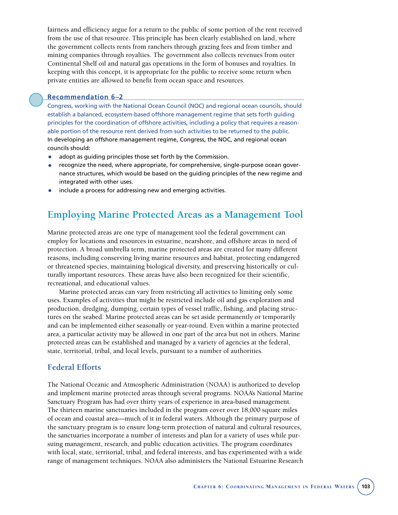fairness and efficiency argue for a return to the public of some portion of the rent received from the use of that resource. This principle has been clearly established on land, where the government collects rents from ranchers through grazing fees and from timber and mining companies through royalties. The government also collects revenues from outer Continental Shelf oil and natural gas operations in the form of bonuses and royalties. In keeping with this concept, it is appropriate for the public to receive some return when private entities are allowed to benefit from ocean space and resources.

#### **Recommendation 6–2**

Congress, working with the National Ocean Council (NOC) and regional ocean councils, should establish a balanced, ecosystem-based offshore management regime that sets forth guiding principles for the coordination of offshore activities, including a policy that requires a reasonable portion of the resource rent derived from such activities to be returned to the public. In developing an offshore management regime, Congress, the NOC, and regional ocean councils should:

- adopt as guiding principles those set forth by the Commission.
- recognize the need, where appropriate, for comprehensive, single-purpose ocean governance structures, which would be based on the guiding principles of the new regime and integrated with other uses.
- include a process for addressing new and emerging activities.

# **Employing Marine Protected Areas as a Management Tool**

Marine protected areas are one type of management tool the federal government can employ for locations and resources in estuarine, nearshore, and offshore areas in need of protection. A broad umbrella term, marine protected areas are created for many different reasons, including conserving living marine resources and habitat, protecting endangered or threatened species, maintaining biological diversity, and preserving historically or culturally important resources. These areas have also been recognized for their scientific, recreational, and educational values.

Marine protected areas can vary from restricting all activities to limiting only some uses. Examples of activities that might be restricted include oil and gas exploration and production, dredging, dumping, certain types of vessel traffic, fishing, and placing structures on the seabed. Marine protected areas can be set aside permanently or temporarily and can be implemented either seasonally or year-round. Even within a marine protected area, a particular activity may be allowed in one part of the area but not in others. Marine protected areas can be established and managed by a variety of agencies at the federal, state, territorial, tribal, and local levels, pursuant to a number of authorities.

## **Federal Efforts**

The National Oceanic and Atmospheric Administration (NOAA) is authorized to develop and implement marine protected areas through several programs. NOAA's National Marine Sanctuary Program has had over thirty years of experience in area-based management. The thirteen marine sanctuaries included in the program cover over 18,000 square miles of ocean and coastal area—much of it in federal waters. Although the primary purpose of the sanctuary program is to ensure long-term protection of natural and cultural resources, the sanctuaries incorporate a number of interests and plan for a variety of uses while pursuing management, research, and public education activities. The program coordinates with local, state, territorial, tribal, and federal interests, and has experimented with a wide range of management techniques. NOAA also administers the National Estuarine Research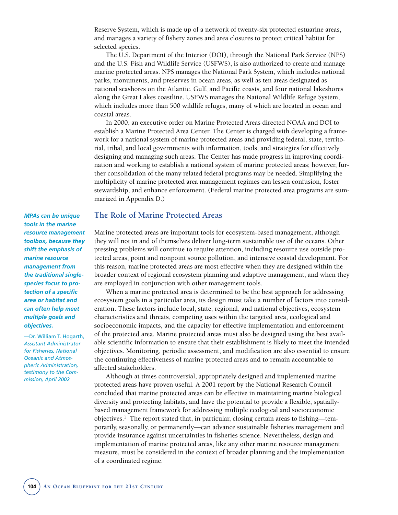Reserve System, which is made up of a network of twenty-six protected estuarine areas, and manages a variety of fishery zones and area closures to protect critical habitat for selected species.

The U.S. Department of the Interior (DOI), through the National Park Service (NPS) and the U.S. Fish and Wildlife Service (USFWS), is also authorized to create and manage marine protected areas. NPS manages the National Park System, which includes national parks, monuments, and preserves in ocean areas, as well as ten areas designated as national seashores on the Atlantic, Gulf, and Pacific coasts, and four national lakeshores along the Great Lakes coastline. USFWS manages the National Wildlife Refuge System, which includes more than 500 wildlife refuges, many of which are located in ocean and coastal areas.

In 2000, an executive order on Marine Protected Areas directed NOAA and DOI to establish a Marine Protected Area Center. The Center is charged with developing a framework for a national system of marine protected areas and providing federal, state, territorial, tribal, and local governments with information, tools, and strategies for effectively designing and managing such areas. The Center has made progress in improving coordination and working to establish a national system of marine protected areas; however, further consolidation of the many related federal programs may be needed. Simplifying the multiplicity of marine protected area management regimes can lessen confusion, foster stewardship, and enhance enforcement. (Federal marine protected area programs are summarized in Appendix D.)

### **The Role of Marine Protected Areas**

Marine protected areas are important tools for ecosystem-based management, although they will not in and of themselves deliver long-term sustainable use of the oceans. Other pressing problems will continue to require attention, including resource use outside protected areas, point and nonpoint source pollution, and intensive coastal development. For this reason, marine protected areas are most effective when they are designed within the broader context of regional ecosystem planning and adaptive management, and when they are employed in conjunction with other management tools.

When a marine protected area is determined to be the best approach for addressing ecosystem goals in a particular area, its design must take a number of factors into consideration. These factors include local, state, regional, and national objectives, ecosystem characteristics and threats, competing uses within the targeted area, ecological and socioeconomic impacts, and the capacity for effective implementation and enforcement of the protected area. Marine protected areas must also be designed using the best available scientific information to ensure that their establishment is likely to meet the intended objectives. Monitoring, periodic assessment, and modification are also essential to ensure the continuing effectiveness of marine protected areas and to remain accountable to affected stakeholders.

Although at times controversial, appropriately designed and implemented marine protected areas have proven useful. A 2001 report by the National Research Council concluded that marine protected areas can be effective in maintaining marine biological diversity and protecting habitats, and have the potential to provide a flexible, spatiallybased management framework for addressing multiple ecological and socioeconomic objectives.1 The report stated that, in particular, closing certain areas to fishing—temporarily, seasonally, or permanently—can advance sustainable fisheries management and provide insurance against uncertainties in fisheries science. Nevertheless, design and implementation of marine protected areas, like any other marine resource management measure, must be considered in the context of broader planning and the implementation of a coordinated regime.

*MPAs can be unique tools in the marine resource management toolbox, because they shift the emphasis of marine resource management from the traditional singlespecies focus to protection of a specific area or habitat and can often help meet multiple goals and objectives.*

—Dr. William T. Hogarth, *Assistant Administrator for Fisheries, National Oceanic and Atmospheric Administration, testimony to the Commission, April 2002*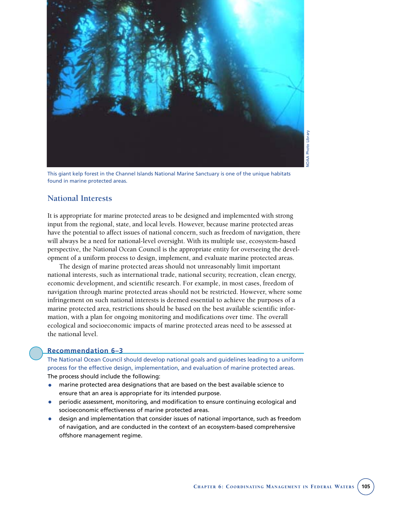

This giant kelp forest in the Channel Islands National Marine Sanctuary is one of the unique habitats found in marine protected areas.

## **National Interests**

It is appropriate for marine protected areas to be designed and implemented with strong input from the regional, state, and local levels. However, because marine protected areas have the potential to affect issues of national concern, such as freedom of navigation, there will always be a need for national-level oversight. With its multiple use, ecosystem-based perspective, the National Ocean Council is the appropriate entity for overseeing the development of a uniform process to design, implement, and evaluate marine protected areas.

The design of marine protected areas should not unreasonably limit important national interests, such as international trade, national security, recreation, clean energy, economic development, and scientific research. For example, in most cases, freedom of navigation through marine protected areas should not be restricted. However, where some infringement on such national interests is deemed essential to achieve the purposes of a marine protected area, restrictions should be based on the best available scientific information, with a plan for ongoing monitoring and modifications over time. The overall ecological and socioeconomic impacts of marine protected areas need to be assessed at the national level.

#### **Recommendation 6–3**

The National Ocean Council should develop national goals and guidelines leading to a uniform process for the effective design, implementation, and evaluation of marine protected areas. The process should include the following:

- marine protected area designations that are based on the best available science to ensure that an area is appropriate for its intended purpose.
- periodic assessment, monitoring, and modification to ensure continuing ecological and socioeconomic effectiveness of marine protected areas.
- design and implementation that consider issues of national importance, such as freedom of navigation, and are conducted in the context of an ecosystem-based comprehensive offshore management regime.